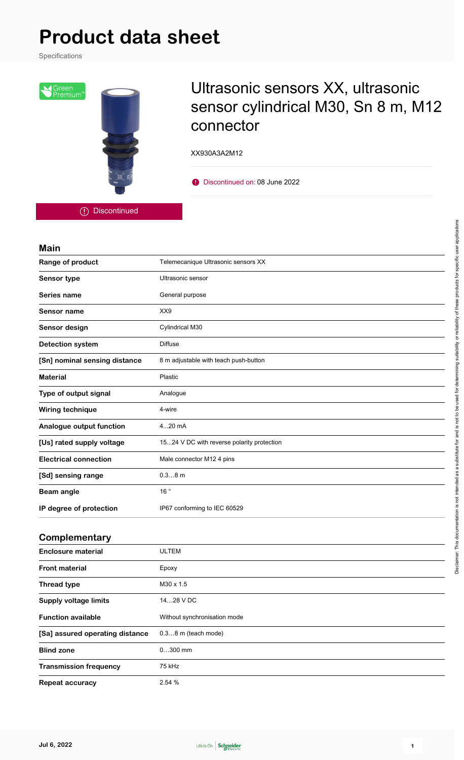Specifications



## Ultrasonic sensors XX, ultrasonic sensor cylindrical M30, Sn 8 m, M12 connector

XX930A3A2M12

Discontinued on: 08 June 2022

Discontinued

#### **Main**

| Range of product              | Telemecanique Ultrasonic sensors XX        |
|-------------------------------|--------------------------------------------|
| Sensor type                   | Ultrasonic sensor                          |
| Series name                   | General purpose                            |
| Sensor name                   | XX9                                        |
| Sensor design                 | Cylindrical M30                            |
| <b>Detection system</b>       | <b>Diffuse</b>                             |
| [Sn] nominal sensing distance | 8 m adjustable with teach push-button      |
| <b>Material</b>               | Plastic                                    |
| Type of output signal         | Analogue                                   |
| Wiring technique              | 4-wire                                     |
| Analogue output function      | 420 mA                                     |
| [Us] rated supply voltage     | 1524 V DC with reverse polarity protection |
| <b>Electrical connection</b>  | Male connector M12 4 pins                  |
| [Sd] sensing range            | $0.38$ m                                   |
| <b>Beam angle</b>             | 16°                                        |
| IP degree of protection       | IP67 conforming to IEC 60529               |
| Complementary                 |                                            |
|                               |                                            |

| <b>Enclosure material</b>       | <b>ULTEM</b>                 |
|---------------------------------|------------------------------|
| <b>Front material</b>           | Epoxy                        |
| <b>Thread type</b>              | M30 x 1.5                    |
| <b>Supply voltage limits</b>    | 1428 V DC                    |
| <b>Function available</b>       | Without synchronisation mode |
| [Sa] assured operating distance | $0.38$ m (teach mode)        |
| <b>Blind zone</b>               | $0300$ mm                    |
| <b>Transmission frequency</b>   | 75 kHz                       |
| Repeat accuracy                 | 2.54 %                       |

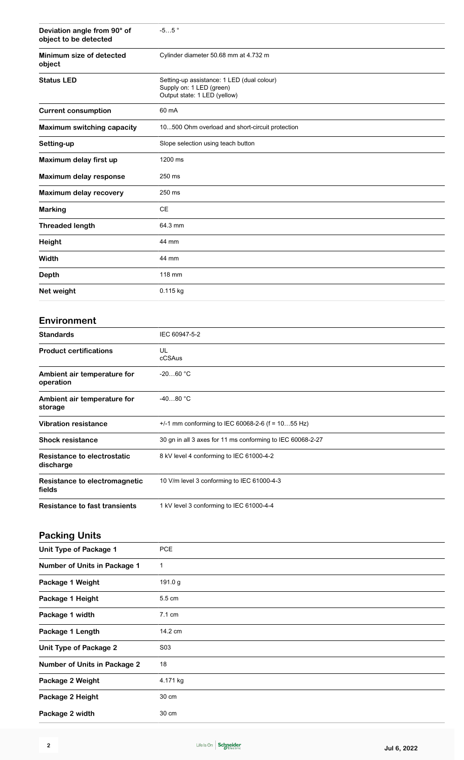| Deviation angle from 90° of<br>object to be detected | $-55$ $^{\circ}$                                                                                       |
|------------------------------------------------------|--------------------------------------------------------------------------------------------------------|
| Minimum size of detected<br>object                   | Cylinder diameter 50.68 mm at 4.732 m                                                                  |
| <b>Status LED</b>                                    | Setting-up assistance: 1 LED (dual colour)<br>Supply on: 1 LED (green)<br>Output state: 1 LED (yellow) |
| <b>Current consumption</b>                           | 60 mA                                                                                                  |
| <b>Maximum switching capacity</b>                    | 10500 Ohm overload and short-circuit protection                                                        |
| Setting-up                                           | Slope selection using teach button                                                                     |
| Maximum delay first up                               | 1200 ms                                                                                                |
| Maximum delay response                               | 250 ms                                                                                                 |
| Maximum delay recovery                               | 250 ms                                                                                                 |
| <b>Marking</b>                                       | <b>CE</b>                                                                                              |
| <b>Threaded length</b>                               | 64.3 mm                                                                                                |
| Height                                               | 44 mm                                                                                                  |
| Width                                                | 44 mm                                                                                                  |
| <b>Depth</b>                                         | 118 mm                                                                                                 |
| Net weight                                           | 0.115 kg                                                                                               |
|                                                      |                                                                                                        |
| Environment                                          |                                                                                                        |
| <b>Standards</b>                                     | IEC 60947-5-2                                                                                          |
| <b>Product certifications</b>                        | UL<br>cCSAus                                                                                           |
| Ambient air temperature for<br>operation             | $-2060$ °C                                                                                             |
| Ambient air temperature for<br>storage               | $-4080 °C$                                                                                             |
| <b>Vibration resistance</b>                          | +/-1 mm conforming to IEC 60068-2-6 (f = 1055 Hz)                                                      |
| <b>Shock resistance</b>                              | 30 gn in all 3 axes for 11 ms conforming to IEC 60068-2-27                                             |
| <b>Resistance to electrostatic</b><br>discharge      | 8 kV level 4 conforming to IEC 61000-4-2                                                               |
| Resistance to electromagnetic<br>fields              | 10 V/m level 3 conforming to IEC 61000-4-3                                                             |
| <b>Resistance to fast transients</b>                 | 1 kV level 3 conforming to IEC 61000-4-4                                                               |
| <b>Packing Units</b>                                 |                                                                                                        |
| <b>Unit Type of Package 1</b>                        | <b>PCE</b>                                                                                             |
| Number of Units in Package 1                         | $\mathbf{1}$                                                                                           |
| Package 1 Weight                                     | 191.0 g                                                                                                |
| Package 1 Height                                     | 5.5 cm                                                                                                 |
| Package 1 width                                      | 7.1 cm                                                                                                 |
| Package 1 Length                                     | 14.2 cm                                                                                                |
| <b>Unit Type of Package 2</b>                        | S03                                                                                                    |
| <b>Number of Units in Package 2</b>                  | 18                                                                                                     |
| Package 2 Weight                                     | 4.171 kg                                                                                               |
| Package 2 Height                                     | 30 cm                                                                                                  |

Package 2 width 30 cm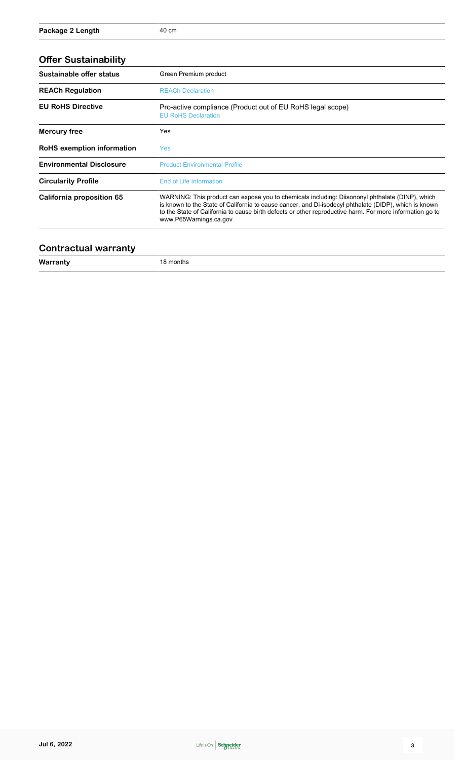| <b>Offer Sustainability</b>     |                                                                                                                                                                                                                                                                                                                                                |  |
|---------------------------------|------------------------------------------------------------------------------------------------------------------------------------------------------------------------------------------------------------------------------------------------------------------------------------------------------------------------------------------------|--|
| Sustainable offer status        | Green Premium product                                                                                                                                                                                                                                                                                                                          |  |
| <b>REACh Regulation</b>         | <b>REACh Declaration</b>                                                                                                                                                                                                                                                                                                                       |  |
| <b>EU RoHS Directive</b>        | Pro-active compliance (Product out of EU RoHS legal scope)<br><b>EU RoHS Declaration</b>                                                                                                                                                                                                                                                       |  |
| Mercury free                    | Yes                                                                                                                                                                                                                                                                                                                                            |  |
| RoHS exemption information      | <b>Yes</b>                                                                                                                                                                                                                                                                                                                                     |  |
| <b>Environmental Disclosure</b> | <b>Product Environmental Profile</b>                                                                                                                                                                                                                                                                                                           |  |
| <b>Circularity Profile</b>      | End of Life Information                                                                                                                                                                                                                                                                                                                        |  |
| California proposition 65       | WARNING: This product can expose you to chemicals including: Diisononyl phthalate (DINP), which<br>is known to the State of California to cause cancer, and Di-isodecyl phthalate (DIDP), which is known<br>to the State of California to cause birth defects or other reproductive harm. For more information go to<br>www.P65Warnings.ca.gov |  |

#### **Contractual warranty**

**Warranty** 18 months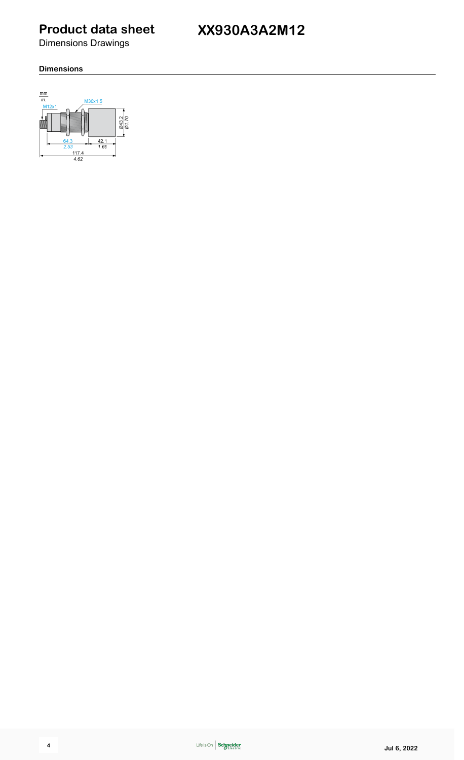**XX930A3A2M12**

Dimensions Drawings

#### **Dimensions**

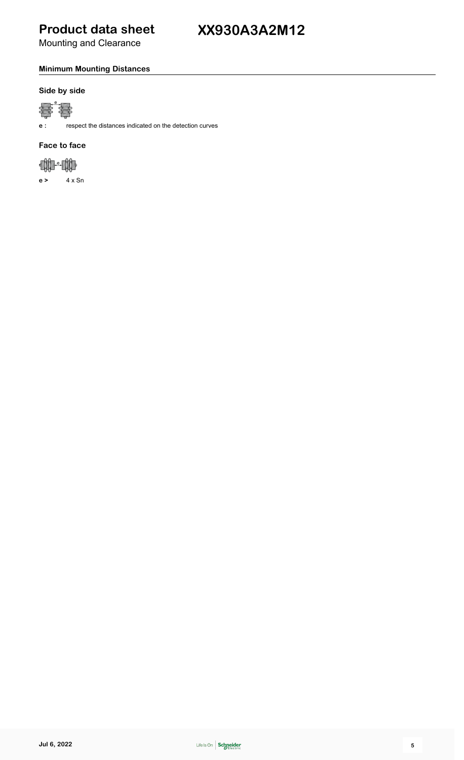Mounting and Clearance

#### **Minimum Mounting Distances**

#### **Side by side**



**e :** respect the distances indicated on the detection curves

#### **Face to face**



**e >** 4 x Sn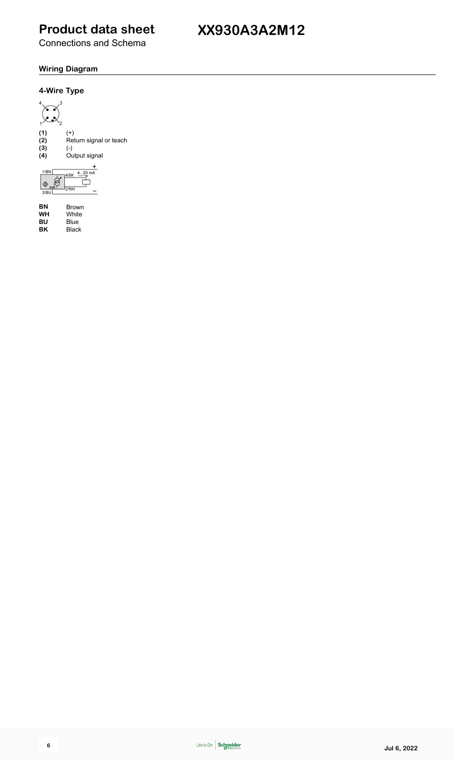Connections and Schema

## **XX930A3A2M12**

#### **Wiring Diagram**



**BN** Brown<br> **WH** White<br> **BU** Blue<br> **BK** Black **White BU** Blue **BK** Black